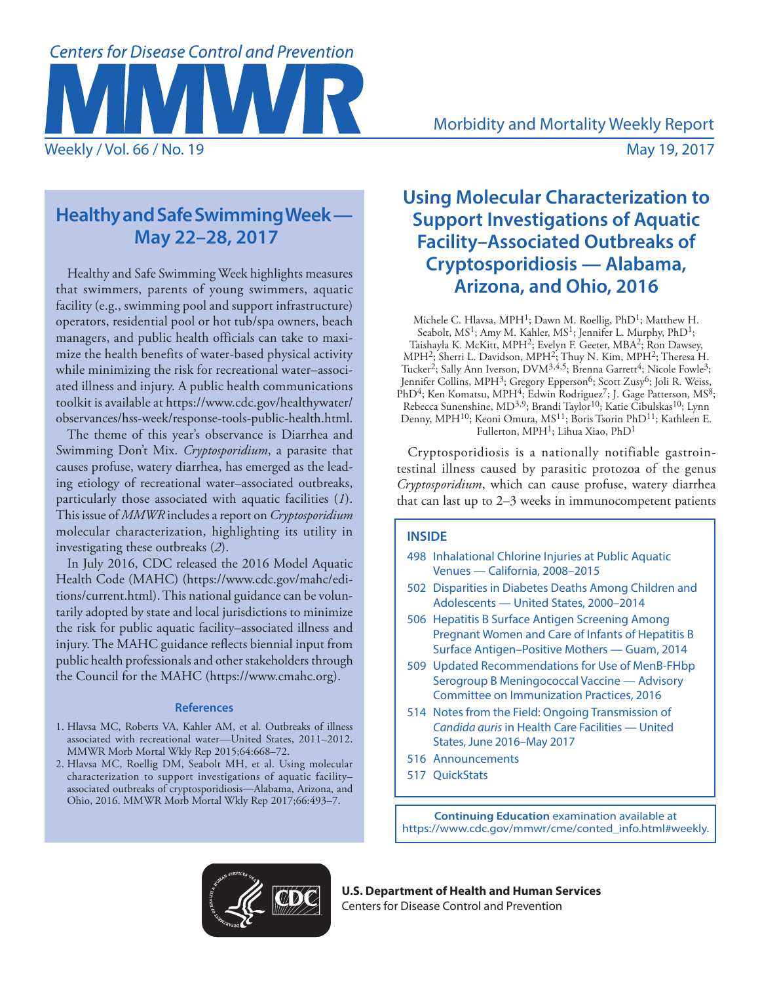# **Centers for Disease Control and Prevention**

# **Healthy and Safe Swimming Week — May 22–28, 2017**

Healthy and Safe Swimming Week highlights measures that swimmers, parents of young swimmers, aquatic facility (e.g., swimming pool and support infrastructure) operators, residential pool or hot tub/spa owners, beach managers, and public health officials can take to maximize the health benefits of water-based physical activity while minimizing the risk for recreational water–associated illness and injury. A public health communications toolkit is available at [https://www.cdc.gov/healthywater/](http://www.cdc.gov/healthywater/observances/hss-week/response-tools-public-health.html) [observances/hss-week/response-tools-public-health.html.](http://www.cdc.gov/healthywater/observances/hss-week/response-tools-public-health.html)

The theme of this year's observance is Diarrhea and Swimming Don't Mix. *Cryptosporidium*, a parasite that causes profuse, watery diarrhea, has emerged as the leading etiology of recreational water–associated outbreaks, particularly those associated with aquatic facilities (*1*). This issue of *MMWR* includes a report on *Cryptosporidium* molecular characterization, highlighting its utility in investigating these outbreaks (*2*).

In July 2016, CDC released the 2016 Model Aquatic Health Code (MAHC) ([https://www.cdc.gov/mahc/edi](https://www.cdc.gov/mahc/editions/current.html)[tions/current.html\)](https://www.cdc.gov/mahc/editions/current.html). This national guidance can be voluntarily adopted by state and local jurisdictions to minimize the risk for public aquatic facility–associated illness and injury. The MAHC guidance reflects biennial input from public health professionals and other stakeholders through the Council for the MAHC [\(https://www.cmahc.org](https://www.cmahc.org)).

### **References**

- 1. Hlavsa MC, Roberts VA, Kahler AM, et al. Outbreaks of illness associated with recreational water—United States, 2011–2012. MMWR Morb Mortal Wkly Rep 2015;64:668–72.
- 2. Hlavsa MC, Roellig DM, Seabolt MH, et al. Using molecular characterization to support investigations of aquatic facility– associated outbreaks of cryptosporidiosis—Alabama, Arizona, and Ohio, 2016. MMWR Morb Mortal Wkly Rep 2017;66:493–7.

# **Using Molecular Characterization to Support Investigations of Aquatic Facility–Associated Outbreaks of Cryptosporidiosis — Alabama, Arizona, and Ohio, 2016**

Michele C. Hlavsa, MPH<sup>1</sup>; Dawn M. Roellig, PhD<sup>1</sup>; Matthew H. Seabolt, MS<sup>1</sup>; Amy M. Kahler, MS<sup>1</sup>; Jennifer L. Murphy, PhD<sup>1</sup>; Taishayla K. McKitt, MPH2; Evelyn F. Geeter, MBA2; Ron Dawsey, MPH<sup>2</sup>; Sherri L. Davidson, MPH<sup>2</sup>; Thuy N. Kim, MPH<sup>2</sup>; Theresa H. Tucker<sup>2</sup>; Sally Ann Iverson, DVM<sup>3,4,5</sup>; Brenna Garrett<sup>4</sup>; Nicole Fowle<sup>3</sup>; Jennifer Collins, MPH<sup>3</sup>; Gregory Epperson<sup>6</sup>; Scott Zusy<sup>6</sup>; Joli R. Weiss, PhD<sup>4</sup>; Ken Komatsu, MPH<sup>4</sup>; Edwin Rodriguez<sup>7</sup>; J. Gage Patterson, MS<sup>8</sup>; Rebecca Sunenshine, MD<sup>3,9</sup>; Brandi Taylor<sup>10</sup>; Katie Cibulskas<sup>10</sup>; Lynn Denny, MPH<sup>10</sup>; Keoni Omura, MS<sup>11</sup>; Boris Tsorin PhD<sup>11</sup>; Kathleen E. Fullerton, MPH1; Lihua Xiao, PhD1

Cryptosporidiosis is a nationally notifiable gastrointestinal illness caused by parasitic protozoa of the genus *Cryptosporidium*, which can cause profuse, watery diarrhea that can last up to 2–3 weeks in immunocompetent patients

# **INSIDE**

- 498 Inhalational Chlorine Injuries at Public Aquatic Venues — California, 2008–2015
- 502 Disparities in Diabetes Deaths Among Children and Adolescents — United States, 2000–2014
- 506 Hepatitis B Surface Antigen Screening Among Pregnant Women and Care of Infants of Hepatitis B Surface Antigen–Positive Mothers — Guam, 2014
- 509 Updated Recommendations for Use of MenB-FHbp Serogroup B Meningococcal Vaccine — Advisory Committee on Immunization Practices, 2016
- 514 Notes from the Field: Ongoing Transmission of *Candida auris* in Health Care Facilities — United States, June 2016–May 2017
- 516 Announcements
- 517 QuickStats

**Continuing Education** examination available at [https://www.cdc.gov/mmwr/cme/conted\\_info.html#weekly](https://www.cdc.gov/mmwr/cme/conted_info.html#weekly).



**U.S. Department of Health and Human Services** Centers for Disease Control and Prevention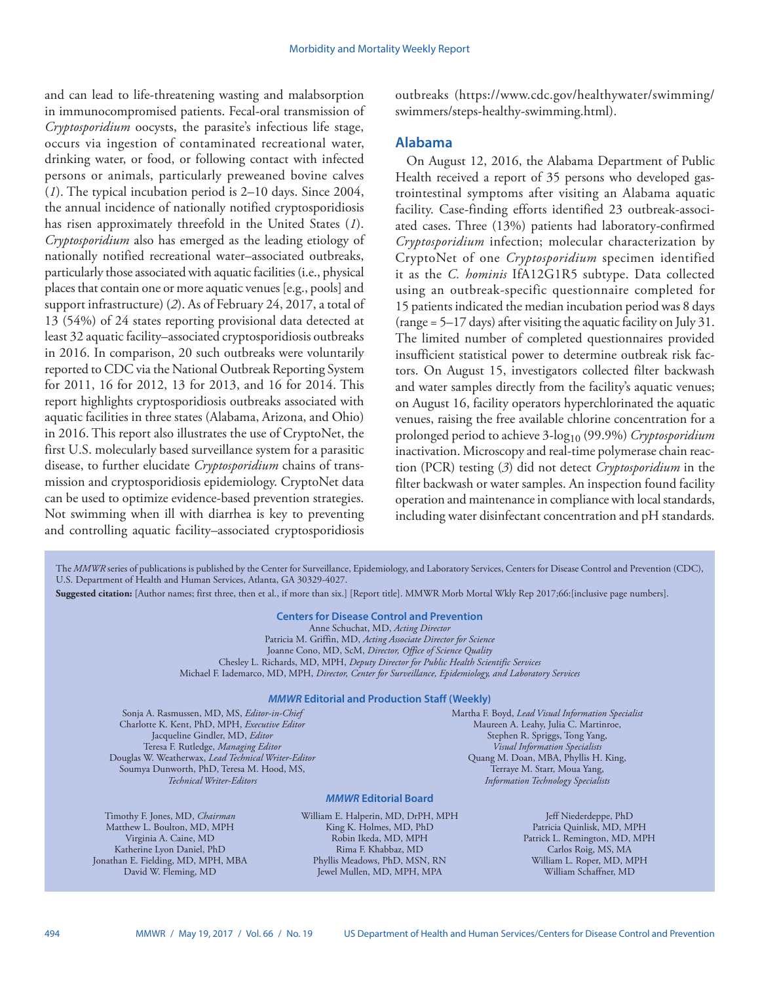and can lead to life-threatening wasting and malabsorption in immunocompromised patients. Fecal-oral transmission of *Cryptosporidium* oocysts, the parasite's infectious life stage, occurs via ingestion of contaminated recreational water, drinking water, or food, or following contact with infected persons or animals, particularly preweaned bovine calves (*1*). The typical incubation period is 2–10 days. Since 2004, the annual incidence of nationally notified cryptosporidiosis has risen approximately threefold in the United States (*1*). *Cryptosporidium* also has emerged as the leading etiology of nationally notified recreational water–associated outbreaks, particularly those associated with aquatic facilities (i.e., physical places that contain one or more aquatic venues [e.g., pools] and support infrastructure) (*2*). As of February 24, 2017, a total of 13 (54%) of 24 states reporting provisional data detected at least 32 aquatic facility–associated cryptosporidiosis outbreaks in 2016. In comparison, 20 such outbreaks were voluntarily reported to CDC via the National Outbreak Reporting System for 2011, 16 for 2012, 13 for 2013, and 16 for 2014. This report highlights cryptosporidiosis outbreaks associated with aquatic facilities in three states (Alabama, Arizona, and Ohio) in 2016. This report also illustrates the use of CryptoNet, the first U.S. molecularly based surveillance system for a parasitic disease, to further elucidate *Cryptosporidium* chains of transmission and cryptosporidiosis epidemiology. CryptoNet data can be used to optimize evidence-based prevention strategies. Not swimming when ill with diarrhea is key to preventing and controlling aquatic facility–associated cryptosporidiosis

outbreaks ([https://www.cdc.gov/healthywater/swimming/](https://www.cdc.gov/healthywater/swimming/swimmers/steps-healthy-swimming.html) [swimmers/steps-healthy-swimming.html\)](https://www.cdc.gov/healthywater/swimming/swimmers/steps-healthy-swimming.html).

# **Alabama**

On August 12, 2016, the Alabama Department of Public Health received a report of 35 persons who developed gastrointestinal symptoms after visiting an Alabama aquatic facility. Case-finding efforts identified 23 outbreak-associated cases. Three (13%) patients had laboratory-confirmed *Cryptosporidium* infection; molecular characterization by CryptoNet of one *Cryptosporidium* specimen identified it as the *C. hominis* IfA12G1R5 subtype. Data collected using an outbreak-specific questionnaire completed for 15 patients indicated the median incubation period was 8 days  $(\text{range} = 5-17 \text{ days})$  after visiting the aquatic facility on July 31. The limited number of completed questionnaires provided insufficient statistical power to determine outbreak risk factors. On August 15, investigators collected filter backwash and water samples directly from the facility's aquatic venues; on August 16, facility operators hyperchlorinated the aquatic venues, raising the free available chlorine concentration for a prolonged period to achieve 3-log10 (99.9%) *Cryptosporidium* inactivation. Microscopy and real-time polymerase chain reaction (PCR) testing (*3*) did not detect *Cryptosporidium* in the filter backwash or water samples. An inspection found facility operation and maintenance in compliance with local standards, including water disinfectant concentration and pH standards.

The *MMWR* series of publications is published by the Center for Surveillance, Epidemiology, and Laboratory Services, Centers for Disease Control and Prevention (CDC), U.S. Department of Health and Human Services, Atlanta, GA 30329-4027.

**Suggested citation:** [Author names; first three, then et al., if more than six.] [Report title]. MMWR Morb Mortal Wkly Rep 2017;66:[inclusive page numbers].

# **Centers for Disease Control and Prevention**

Anne Schuchat, MD, *Acting Director* Patricia M. Griffin, MD, *Acting Associate Director for Science* Joanne Cono, MD, ScM, *Director, Office of Science Quality*  Chesley L. Richards, MD, MPH, *Deputy Director for Public Health Scientific Services* Michael F. Iademarco, MD, MPH, *Director, Center for Surveillance, Epidemiology, and Laboratory Services*

#### *MMWR* **Editorial and Production Staff (Weekly)**

Sonja A. Rasmussen, MD, MS, *Editor-in-Chief* Charlotte K. Kent, PhD, MPH, *Executive Editor* Jacqueline Gindler, MD, *Editor* Teresa F. Rutledge, *Managing Editor* Douglas W. Weatherwax, *Lead Technical Writer-Editor* Soumya Dunworth, PhD, Teresa M. Hood, MS, *Technical Writer-Editors*

Timothy F. Jones, MD, *Chairman* Matthew L. Boulton, MD, MPH Virginia A. Caine, MD Katherine Lyon Daniel, PhD Jonathan E. Fielding, MD, MPH, MBA David W. Fleming, MD

Stephen R. Spriggs, Tong Yang, *Visual Information Specialists* Quang M. Doan, MBA, Phyllis H. King, Terraye M. Starr, Moua Yang, *Information Technology Specialists*

Martha F. Boyd, *Lead Visual Information Specialist* Maureen A. Leahy, Julia C. Martinroe,

*MMWR* **Editorial Board**

William E. Halperin, MD, DrPH, MPH King K. Holmes, MD, PhD Robin Ikeda, MD, MPH Rima F. Khabbaz, MD Phyllis Meadows, PhD, MSN, RN Jewel Mullen, MD, MPH, MPA

Jeff Niederdeppe, PhD Patricia Quinlisk, MD, MPH Patrick L. Remington, MD, MPH Carlos Roig, MS, MA William L. Roper, MD, MPH William Schaffner, MD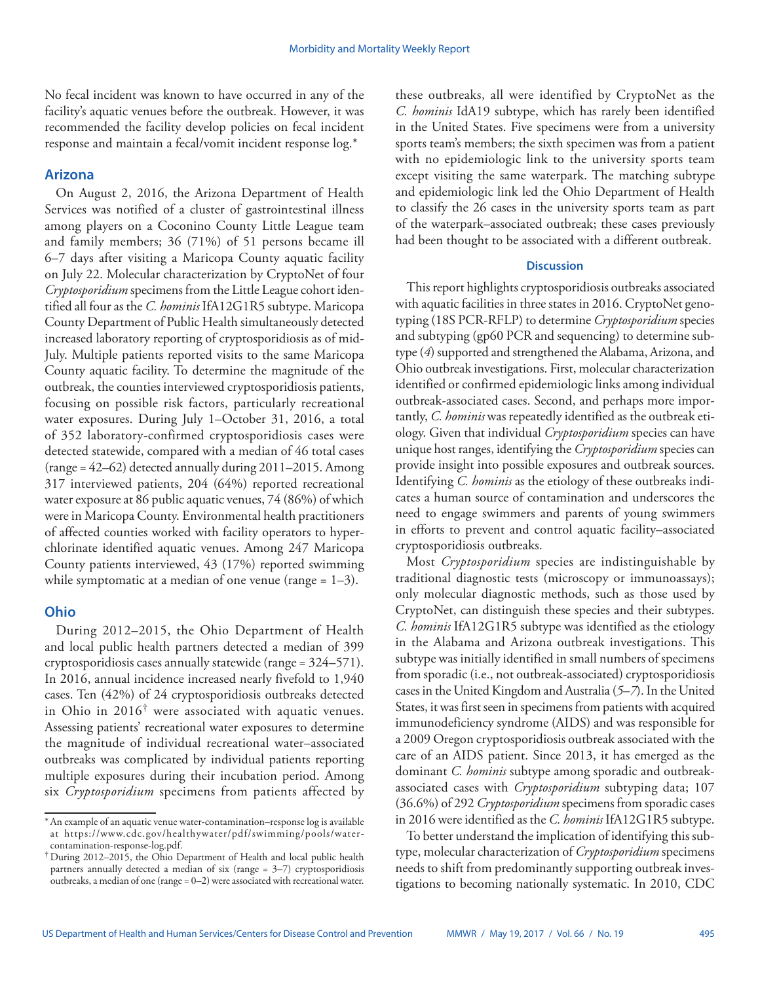No fecal incident was known to have occurred in any of the facility's aquatic venues before the outbreak. However, it was recommended the facility develop policies on fecal incident response and maintain a fecal/vomit incident response log.\*

# **Arizona**

On August 2, 2016, the Arizona Department of Health Services was notified of a cluster of gastrointestinal illness among players on a Coconino County Little League team and family members; 36 (71%) of 51 persons became ill 6–7 days after visiting a Maricopa County aquatic facility on July 22. Molecular characterization by CryptoNet of four *Cryptosporidium* specimens from the Little League cohort identified all four as the *C. hominis* IfA12G1R5 subtype. Maricopa County Department of Public Health simultaneously detected increased laboratory reporting of cryptosporidiosis as of mid-July. Multiple patients reported visits to the same Maricopa County aquatic facility. To determine the magnitude of the outbreak, the counties interviewed cryptosporidiosis patients, focusing on possible risk factors, particularly recreational water exposures. During July 1–October 31, 2016, a total of 352 laboratory-confirmed cryptosporidiosis cases were detected statewide, compared with a median of 46 total cases (range = 42–62) detected annually during 2011–2015. Among 317 interviewed patients, 204 (64%) reported recreational water exposure at 86 public aquatic venues, 74 (86%) of which were in Maricopa County. Environmental health practitioners of affected counties worked with facility operators to hyperchlorinate identified aquatic venues. Among 247 Maricopa County patients interviewed, 43 (17%) reported swimming while symptomatic at a median of one venue (range  $= 1-3$ ).

## **Ohio**

During 2012–2015, the Ohio Department of Health and local public health partners detected a median of 399 cryptosporidiosis cases annually statewide (range = 324–571). In 2016, annual incidence increased nearly fivefold to 1,940 cases. Ten (42%) of 24 cryptosporidiosis outbreaks detected in Ohio in 2016† were associated with aquatic venues. Assessing patients' recreational water exposures to determine the magnitude of individual recreational water–associated outbreaks was complicated by individual patients reporting multiple exposures during their incubation period. Among six *Cryptosporidium* specimens from patients affected by

these outbreaks, all were identified by CryptoNet as the *C. hominis* IdA19 subtype, which has rarely been identified in the United States. Five specimens were from a university sports team's members; the sixth specimen was from a patient with no epidemiologic link to the university sports team except visiting the same waterpark. The matching subtype and epidemiologic link led the Ohio Department of Health to classify the 26 cases in the university sports team as part of the waterpark–associated outbreak; these cases previously had been thought to be associated with a different outbreak.

### **Discussion**

This report highlights cryptosporidiosis outbreaks associated with aquatic facilities in three states in 2016. CryptoNet genotyping (18S PCR-RFLP) to determine *Cryptosporidium* species and subtyping (gp60 PCR and sequencing) to determine subtype (*4*) supported and strengthened the Alabama, Arizona, and Ohio outbreak investigations. First, molecular characterization identified or confirmed epidemiologic links among individual outbreak-associated cases. Second, and perhaps more importantly, *C. hominis* was repeatedly identified as the outbreak etiology. Given that individual *Cryptosporidium* species can have unique host ranges, identifying the *Cryptosporidium* species can provide insight into possible exposures and outbreak sources. Identifying *C. hominis* as the etiology of these outbreaks indicates a human source of contamination and underscores the need to engage swimmers and parents of young swimmers in efforts to prevent and control aquatic facility–associated cryptosporidiosis outbreaks.

Most *Cryptosporidium* species are indistinguishable by traditional diagnostic tests (microscopy or immunoassays); only molecular diagnostic methods, such as those used by CryptoNet, can distinguish these species and their subtypes. *C. hominis* IfA12G1R5 subtype was identified as the etiology in the Alabama and Arizona outbreak investigations. This subtype was initially identified in small numbers of specimens from sporadic (i.e., not outbreak-associated) cryptosporidiosis cases in the United Kingdom and Australia (*5*–*7*). In the United States, it was first seen in specimens from patients with acquired immunodeficiency syndrome (AIDS) and was responsible for a 2009 Oregon cryptosporidiosis outbreak associated with the care of an AIDS patient. Since 2013, it has emerged as the dominant *C. hominis* subtype among sporadic and outbreakassociated cases with *Cryptosporidium* subtyping data; 107 (36.6%) of 292 *Cryptosporidium* specimens from sporadic cases in 2016 were identified as the *C. hominis* IfA12G1R5 subtype.

To better understand the implication of identifying this subtype, molecular characterization of *Cryptosporidium* specimens needs to shift from predominantly supporting outbreak investigations to becoming nationally systematic. In 2010, CDC

<sup>\*</sup>An example of an aquatic venue water-contamination–response log is available at [https://www.cdc.gov/healthywater/pdf/swimming/pools/water-](https://www.cdc.gov/healthywater/pdf/swimming/pools/water-contamination-response-log.pdf)

<sup>&</sup>lt;sup>†</sup>During 2012–2015, the Ohio Department of Health and local public health partners annually detected a median of six (range = 3–7) cryptosporidiosis outbreaks, a median of one (range = 0–2) were associated with recreational water.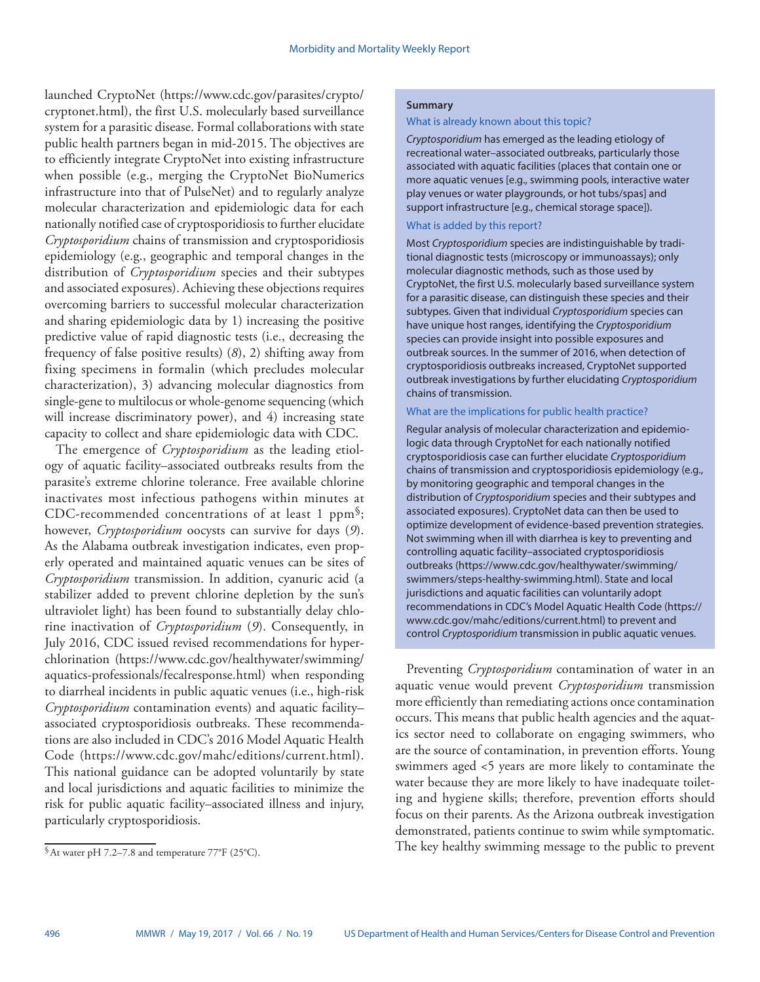launched CryptoNet [\(https://www.cdc.gov/parasites/crypto/](https://www.cdc.gov/parasites/crypto/cryptonet.html) [cryptonet.html](https://www.cdc.gov/parasites/crypto/cryptonet.html)), the first U.S. molecularly based surveillance system for a parasitic disease. Formal collaborations with state public health partners began in mid-2015. The objectives are to efficiently integrate CryptoNet into existing infrastructure when possible (e.g., merging the CryptoNet BioNumerics infrastructure into that of PulseNet) and to regularly analyze molecular characterization and epidemiologic data for each nationally notified case of cryptosporidiosis to further elucidate *Cryptosporidium* chains of transmission and cryptosporidiosis epidemiology (e.g., geographic and temporal changes in the distribution of *Cryptosporidium* species and their subtypes and associated exposures). Achieving these objections requires overcoming barriers to successful molecular characterization and sharing epidemiologic data by 1) increasing the positive predictive value of rapid diagnostic tests (i.e., decreasing the frequency of false positive results) (*8*), 2) shifting away from fixing specimens in formalin (which precludes molecular characterization), 3) advancing molecular diagnostics from single-gene to multilocus or whole-genome sequencing (which will increase discriminatory power), and 4) increasing state capacity to collect and share epidemiologic data with CDC.

The emergence of *Cryptosporidium* as the leading etiology of aquatic facility–associated outbreaks results from the parasite's extreme chlorine tolerance. Free available chlorine inactivates most infectious pathogens within minutes at CDC-recommended concentrations of at least 1 ppm§; however, *Cryptosporidium* oocysts can survive for days (*9*). As the Alabama outbreak investigation indicates, even properly operated and maintained aquatic venues can be sites of *Cryptosporidium* transmission. In addition, cyanuric acid (a stabilizer added to prevent chlorine depletion by the sun's ultraviolet light) has been found to substantially delay chlorine inactivation of *Cryptosporidium* (*9*). Consequently, in July 2016, CDC issued revised recommendations for hyperchlorination [\(https://www.cdc.gov/healthywater/swimming/](https://www.cdc.gov/healthywater/swimming/aquatics-professionals/fecalresponse.html) [aquatics-professionals/fecalresponse.html\)](https://www.cdc.gov/healthywater/swimming/aquatics-professionals/fecalresponse.html) when responding to diarrheal incidents in public aquatic venues (i.e., high-risk *Cryptosporidium* contamination events) and aquatic facility– associated cryptosporidiosis outbreaks. These recommendations are also included in CDC's 2016 Model Aquatic Health Code ([https://www.cdc.gov/mahc/editions/current.html\)](https://www.cdc.gov/mahc/editions/current.html). This national guidance can be adopted voluntarily by state and local jurisdictions and aquatic facilities to minimize the risk for public aquatic facility–associated illness and injury, particularly cryptosporidiosis.

#### **Summary**

#### What is already known about this topic?

*Cryptosporidium* has emerged as the leading etiology of recreational water–associated outbreaks, particularly those associated with aquatic facilities (places that contain one or more aquatic venues [e.g., swimming pools, interactive water play venues or water playgrounds, or hot tubs/spas] and support infrastructure [e.g., chemical storage space]).

#### What is added by this report?

Most *Cryptosporidium* species are indistinguishable by traditional diagnostic tests (microscopy or immunoassays); only molecular diagnostic methods, such as those used by CryptoNet, the first U.S. molecularly based surveillance system for a parasitic disease, can distinguish these species and their subtypes. Given that individual *Cryptosporidium* species can have unique host ranges, identifying the *Cryptosporidium* species can provide insight into possible exposures and outbreak sources. In the summer of 2016, when detection of cryptosporidiosis outbreaks increased, CryptoNet supported outbreak investigations by further elucidating *Cryptosporidium* chains of transmission.

#### What are the implications for public health practice?

Regular analysis of molecular characterization and epidemiologic data through CryptoNet for each nationally notified cryptosporidiosis case can further elucidate *Cryptosporidium* chains of transmission and cryptosporidiosis epidemiology (e.g., by monitoring geographic and temporal changes in the distribution of *Cryptosporidium* species and their subtypes and associated exposures). CryptoNet data can then be used to optimize development of evidence-based prevention strategies. Not swimming when ill with diarrhea is key to preventing and controlling aquatic facility–associated cryptosporidiosis outbreaks ([https://www.cdc.gov/healthywater/swimming/](https://www.cdc.gov/healthywater/swimming/swimmers/steps-healthy-swimming.html) [swimmers/steps-healthy-swimming.html\)](https://www.cdc.gov/healthywater/swimming/swimmers/steps-healthy-swimming.html). State and local jurisdictions and aquatic facilities can voluntarily adopt recommendations in CDC's Model Aquatic Health Code ([https://](https://www.cdc.gov/mahc/editions/current.html) [www.cdc.gov/mahc/editions/current.html](https://www.cdc.gov/mahc/editions/current.html)) to prevent and control *Cryptosporidium* transmission in public aquatic venues.

Preventing *Cryptosporidium* contamination of water in an aquatic venue would prevent *Cryptosporidium* transmission more efficiently than remediating actions once contamination occurs. This means that public health agencies and the aquatics sector need to collaborate on engaging swimmers, who are the source of contamination, in prevention efforts. Young swimmers aged <5 years are more likely to contaminate the water because they are more likely to have inadequate toileting and hygiene skills; therefore, prevention efforts should focus on their parents. As the Arizona outbreak investigation demonstrated, patients continue to swim while symptomatic. The key healthy swimming message to the public to prevent

<sup>§</sup>At water pH 7.2–7.8 and temperature 77°F (25°C).